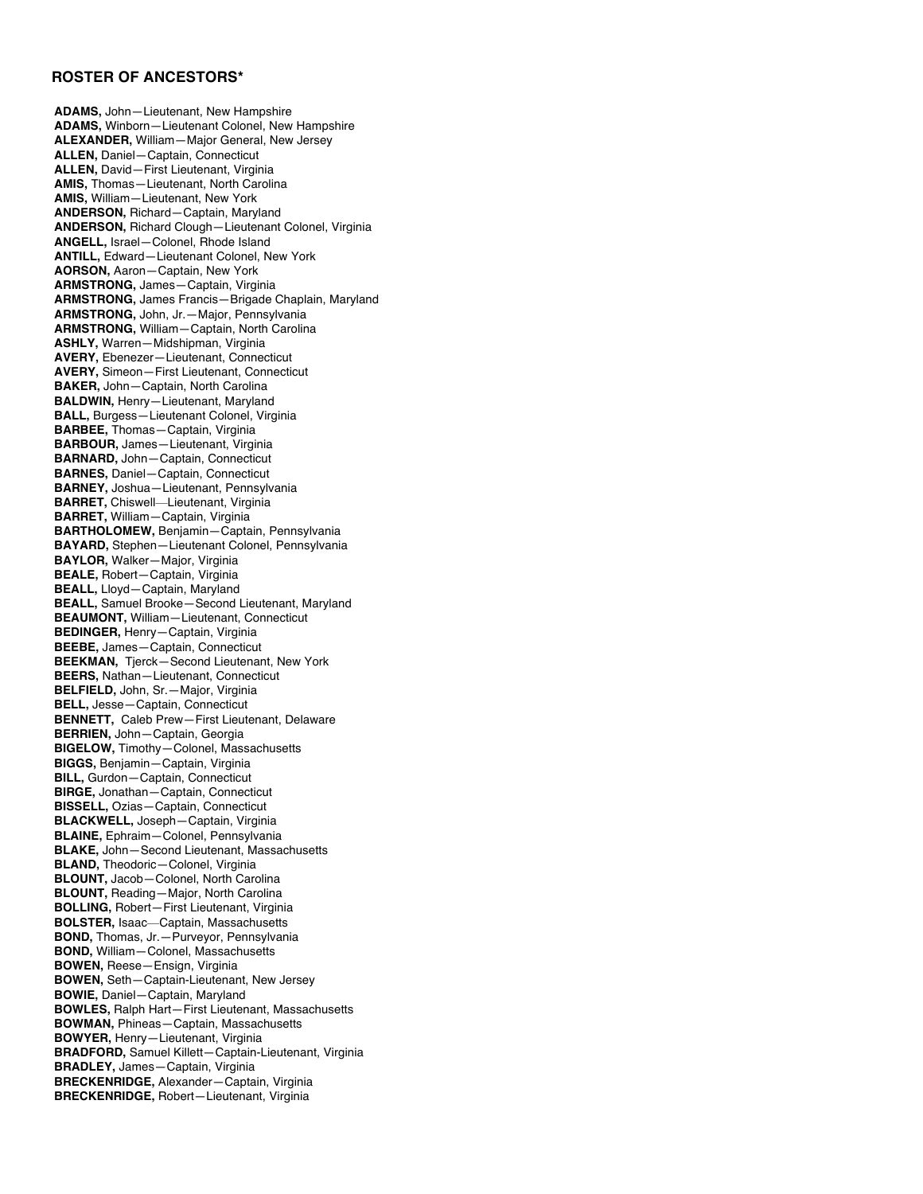## **ROSTER OF ANCESTORS\***

**ADAMS,** John—Lieutenant, New Hampshire **ADAMS,** Winborn—Lieutenant Colonel, New Hampshire **ALEXANDER,** William—Major General, New Jersey **ALLEN,** Daniel—Captain, Connecticut **ALLEN,** David—First Lieutenant, Virginia **AMIS,** Thomas—Lieutenant, North Carolina **AMIS,** William—Lieutenant, New York **ANDERSON,** Richard—Captain, Maryland **ANDERSON,** Richard Clough—Lieutenant Colonel, Virginia **ANGELL,** Israel—Colonel, Rhode Island **ANTILL,** Edward—Lieutenant Colonel, New York **AORSON,** Aaron—Captain, New York **ARMSTRONG,** James—Captain, Virginia **ARMSTRONG,** James Francis—Brigade Chaplain, Maryland **ARMSTRONG,** John, Jr.—Major, Pennsylvania **ARMSTRONG,** William—Captain, North Carolina **ASHLY,** Warren—Midshipman, Virginia **AVERY,** Ebenezer—Lieutenant, Connecticut **AVERY,** Simeon—First Lieutenant, Connecticut **BAKER,** John—Captain, North Carolina **BALDWIN,** Henry—Lieutenant, Maryland **BALL,** Burgess—Lieutenant Colonel, Virginia **BARBEE,** Thomas—Captain, Virginia **BARBOUR,** James—Lieutenant, Virginia **BARNARD,** John—Captain, Connecticut **BARNES,** Daniel—Captain, Connecticut **BARNEY,** Joshua—Lieutenant, Pennsylvania **BARRET,** Chiswell—Lieutenant, Virginia **BARRET,** William—Captain, Virginia **BARTHOLOMEW,** Benjamin—Captain, Pennsylvania **BAYARD,** Stephen—Lieutenant Colonel, Pennsylvania **BAYLOR,** Walker—Major, Virginia **BEALE,** Robert—Captain, Virginia **BEALL,** Lloyd—Captain, Maryland **BEALL,** Samuel Brooke—Second Lieutenant, Maryland **BEAUMONT,** William—Lieutenant, Connecticut **BEDINGER,** Henry—Captain, Virginia **BEEBE,** James—Captain, Connecticut **BEEKMAN,** Tjerck—Second Lieutenant, New York **BEERS,** Nathan—Lieutenant, Connecticut **BELFIELD,** John, Sr.—Major, Virginia **BELL,** Jesse—Captain, Connecticut **BENNETT,** Caleb Prew—First Lieutenant, Delaware **BERRIEN,** John—Captain, Georgia **BIGELOW,** Timothy—Colonel, Massachusetts **BIGGS,** Benjamin—Captain, Virginia **BILL,** Gurdon—Captain, Connecticut **BIRGE,** Jonathan—Captain, Connecticut **BISSELL,** Ozias—Captain, Connecticut **BLACKWELL,** Joseph—Captain, Virginia **BLAINE,** Ephraim—Colonel, Pennsylvania **BLAKE,** John—Second Lieutenant, Massachusetts **BLAND,** Theodoric—Colonel, Virginia **BLOUNT,** Jacob—Colonel, North Carolina **BLOUNT,** Reading—Major, North Carolina **BOLLING,** Robert—First Lieutenant, Virginia **BOLSTER,** Isaac—Captain, Massachusetts **BOND,** Thomas, Jr.—Purveyor, Pennsylvania **BOND,** William—Colonel, Massachusetts **BOWEN,** Reese—Ensign, Virginia **BOWEN,** Seth—Captain-Lieutenant, New Jersey **BOWIE,** Daniel—Captain, Maryland **BOWLES,** Ralph Hart—First Lieutenant, Massachusetts **BOWMAN,** Phineas—Captain, Massachusetts **BOWYER,** Henry—Lieutenant, Virginia **BRADFORD,** Samuel Killett—Captain-Lieutenant, Virginia **BRADLEY,** James—Captain, Virginia **BRECKENRIDGE,** Alexander—Captain, Virginia **BRECKENRIDGE,** Robert—Lieutenant, Virginia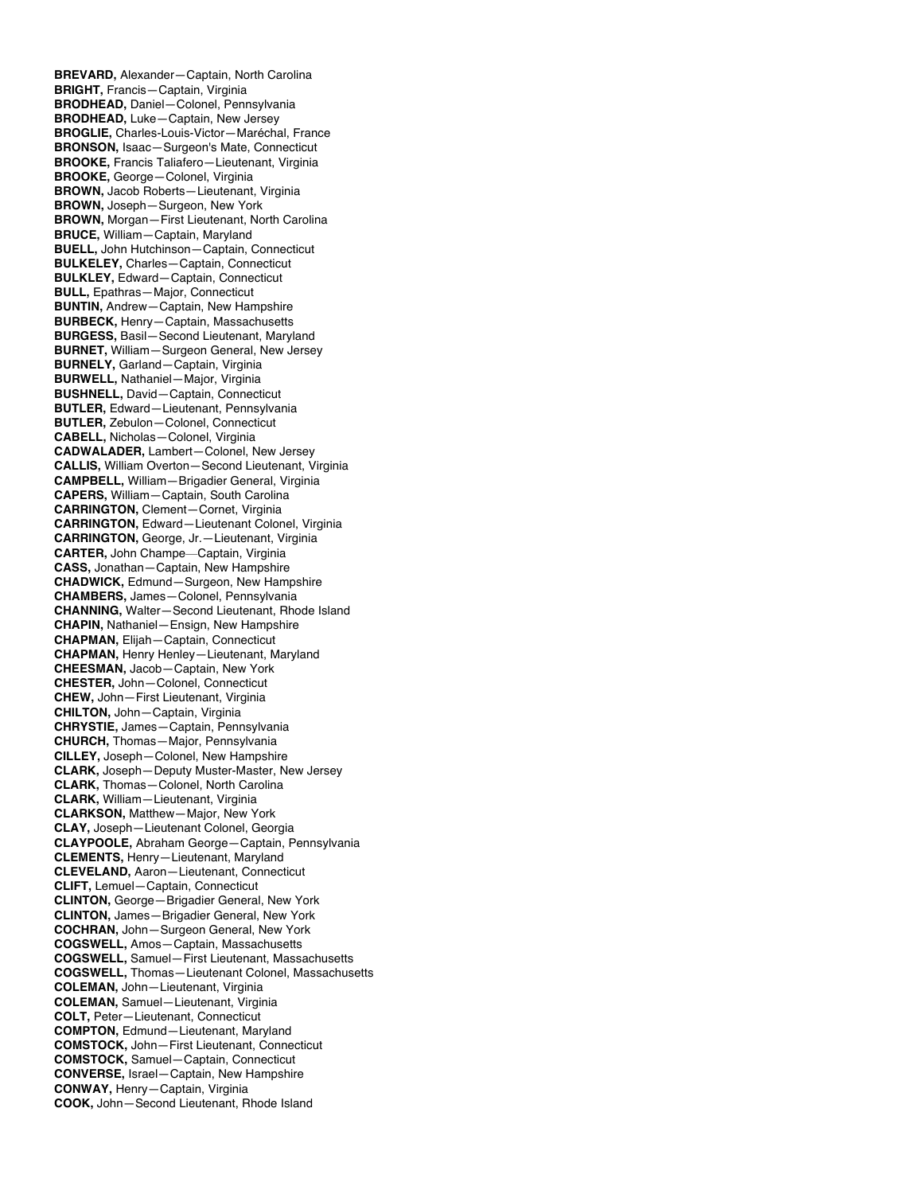**BREVARD,** Alexander—Captain, North Carolina **BRIGHT,** Francis—Captain, Virginia **BRODHEAD,** Daniel—Colonel, Pennsylvania **BRODHEAD,** Luke—Captain, New Jersey **BROGLIE,** Charles-Louis-Victor—Maréchal, France **BRONSON,** Isaac—Surgeon's Mate, Connecticut **BROOKE,** Francis Taliafero—Lieutenant, Virginia **BROOKE,** George—Colonel, Virginia **BROWN,** Jacob Roberts—Lieutenant, Virginia **BROWN,** Joseph—Surgeon, New York **BROWN,** Morgan—First Lieutenant, North Carolina **BRUCE,** William—Captain, Maryland **BUELL,** John Hutchinson—Captain, Connecticut **BULKELEY,** Charles—Captain, Connecticut **BULKLEY,** Edward—Captain, Connecticut **BULL,** Epathras—Major, Connecticut **BUNTIN,** Andrew—Captain, New Hampshire **BURBECK,** Henry—Captain, Massachusetts **BURGESS,** Basil—Second Lieutenant, Maryland **BURNET,** William—Surgeon General, New Jersey **BURNELY,** Garland—Captain, Virginia **BURWELL,** Nathaniel—Major, Virginia **BUSHNELL,** David—Captain, Connecticut **BUTLER,** Edward—Lieutenant, Pennsylvania **BUTLER,** Zebulon—Colonel, Connecticut **CABELL,** Nicholas—Colonel, Virginia **CADWALADER,** Lambert—Colonel, New Jersey **CALLIS,** William Overton—Second Lieutenant, Virginia **CAMPBELL,** William—Brigadier General, Virginia **CAPERS,** William—Captain, South Carolina **CARRINGTON,** Clement—Cornet, Virginia **CARRINGTON,** Edward—Lieutenant Colonel, Virginia **CARRINGTON,** George, Jr.—Lieutenant, Virginia **CARTER,** John Champe—Captain, Virginia **CASS,** Jonathan—Captain, New Hampshire **CHADWICK,** Edmund—Surgeon, New Hampshire **CHAMBERS,** James—Colonel, Pennsylvania **CHANNING,** Walter—Second Lieutenant, Rhode Island **CHAPIN,** Nathaniel—Ensign, New Hampshire **CHAPMAN,** Elijah—Captain, Connecticut **CHAPMAN,** Henry Henley—Lieutenant, Maryland **CHEESMAN,** Jacob—Captain, New York **CHESTER,** John—Colonel, Connecticut **CHEW,** John—First Lieutenant, Virginia **CHILTON,** John—Captain, Virginia **CHRYSTIE,** James—Captain, Pennsylvania **CHURCH,** Thomas—Major, Pennsylvania **CILLEY,** Joseph—Colonel, New Hampshire **CLARK,** Joseph—Deputy Muster-Master, New Jersey **CLARK,** Thomas—Colonel, North Carolina **CLARK,** William—Lieutenant, Virginia **CLARKSON,** Matthew—Major, New York **CLAY,** Joseph—Lieutenant Colonel, Georgia **CLAYPOOLE,** Abraham George—Captain, Pennsylvania **CLEMENTS,** Henry—Lieutenant, Maryland **CLEVELAND,** Aaron—Lieutenant, Connecticut **CLIFT,** Lemuel—Captain, Connecticut **CLINTON,** George—Brigadier General, New York **CLINTON,** James—Brigadier General, New York **COCHRAN,** John—Surgeon General, New York **COGSWELL,** Amos—Captain, Massachusetts **COGSWELL,** Samuel—First Lieutenant, Massachusetts **COGSWELL,** Thomas—Lieutenant Colonel, Massachusetts **COLEMAN,** John—Lieutenant, Virginia **COLEMAN,** Samuel—Lieutenant, Virginia **COLT,** Peter—Lieutenant, Connecticut **COMPTON,** Edmund—Lieutenant, Maryland **COMSTOCK,** John—First Lieutenant, Connecticut **COMSTOCK,** Samuel—Captain, Connecticut **CONVERSE,** Israel—Captain, New Hampshire **CONWAY,** Henry—Captain, Virginia **COOK,** John—Second Lieutenant, Rhode Island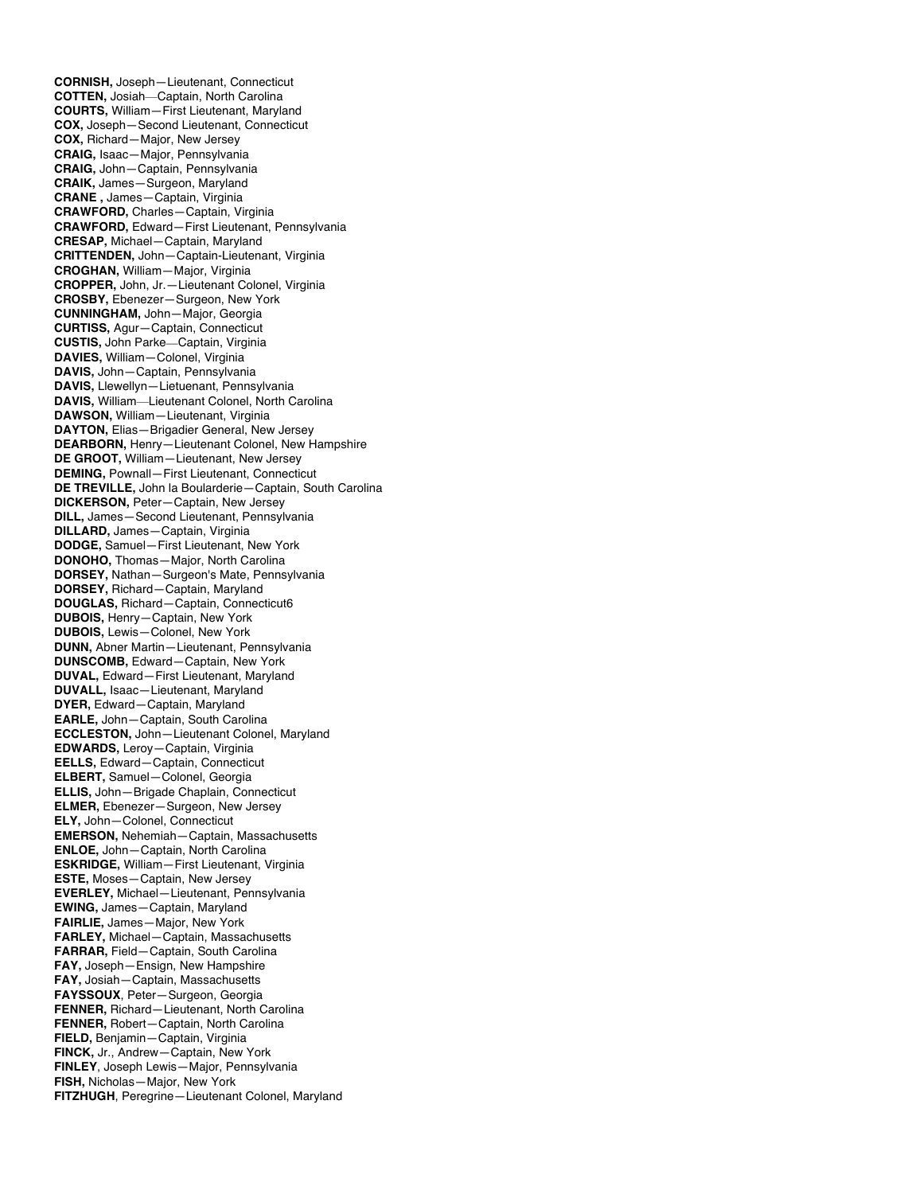**CORNISH,** Joseph—Lieutenant, Connecticut **COTTEN,** Josiah—Captain, North Carolina **COURTS,** William—First Lieutenant, Maryland **COX,** Joseph—Second Lieutenant, Connecticut **COX,** Richard—Major, New Jersey **CRAIG,** Isaac—Major, Pennsylvania **CRAIG,** John—Captain, Pennsylvania **CRAIK,** James—Surgeon, Maryland **CRANE ,** James—Captain, Virginia **CRAWFORD,** Charles—Captain, Virginia **CRAWFORD,** Edward—First Lieutenant, Pennsylvania **CRESAP,** Michael—Captain, Maryland **CRITTENDEN,** John—Captain-Lieutenant, Virginia **CROGHAN,** William—Major, Virginia **CROPPER,** John, Jr.—Lieutenant Colonel, Virginia **CROSBY,** Ebenezer—Surgeon, New York **CUNNINGHAM,** John—Major, Georgia **CURTISS,** Agur—Captain, Connecticut **CUSTIS,** John Parke—Captain, Virginia **DAVIES,** William—Colonel, Virginia **DAVIS,** John—Captain, Pennsylvania **DAVIS,** Llewellyn—Lietuenant, Pennsylvania **DAVIS,** William—Lieutenant Colonel, North Carolina **DAWSON,** William—Lieutenant, Virginia **DAYTON,** Elias—Brigadier General, New Jersey **DEARBORN,** Henry—Lieutenant Colonel, New Hampshire **DE GROOT,** William—Lieutenant, New Jersey **DEMING,** Pownall—First Lieutenant, Connecticut **DE TREVILLE,** John la Boularderie—Captain, South Carolina **DICKERSON,** Peter—Captain, New Jersey **DILL,** James—Second Lieutenant, Pennsylvania **DILLARD,** James—Captain, Virginia **DODGE,** Samuel—First Lieutenant, New York **DONOHO,** Thomas—Major, North Carolina **DORSEY,** Nathan—Surgeon's Mate, Pennsylvania **DORSEY,** Richard—Captain, Maryland **DOUGLAS,** Richard—Captain, Connecticut6 **DUBOIS,** Henry—Captain, New York **DUBOIS,** Lewis—Colonel, New York **DUNN,** Abner Martin—Lieutenant, Pennsylvania **DUNSCOMB,** Edward—Captain, New York **DUVAL,** Edward—First Lieutenant, Maryland **DUVALL,** Isaac—Lieutenant, Maryland **DYER,** Edward—Captain, Maryland **EARLE,** John—Captain, South Carolina **ECCLESTON,** John—Lieutenant Colonel, Maryland **EDWARDS,** Leroy—Captain, Virginia **EELLS,** Edward—Captain, Connecticut **ELBERT,** Samuel—Colonel, Georgia **ELLIS,** John—Brigade Chaplain, Connecticut **ELMER,** Ebenezer—Surgeon, New Jersey **ELY,** John—Colonel, Connecticut **EMERSON,** Nehemiah—Captain, Massachusetts **ENLOE,** John—Captain, North Carolina **ESKRIDGE,** William—First Lieutenant, Virginia **ESTE,** Moses—Captain, New Jersey **EVERLEY,** Michael—Lieutenant, Pennsylvania **EWING,** James—Captain, Maryland **FAIRLIE,** James—Major, New York **FARLEY,** Michael—Captain, Massachusetts **FARRAR,** Field—Captain, South Carolina **FAY,** Joseph—Ensign, New Hampshire **FAY,** Josiah—Captain, Massachusetts **FAYSSOUX**, Peter—Surgeon, Georgia **FENNER,** Richard—Lieutenant, North Carolina **FENNER,** Robert—Captain, North Carolina **FIELD,** Benjamin—Captain, Virginia **FINCK,** Jr., Andrew—Captain, New York **FINLEY**, Joseph Lewis—Major, Pennsylvania **FISH,** Nicholas—Major, New York **FITZHUGH**, Peregrine—Lieutenant Colonel, Maryland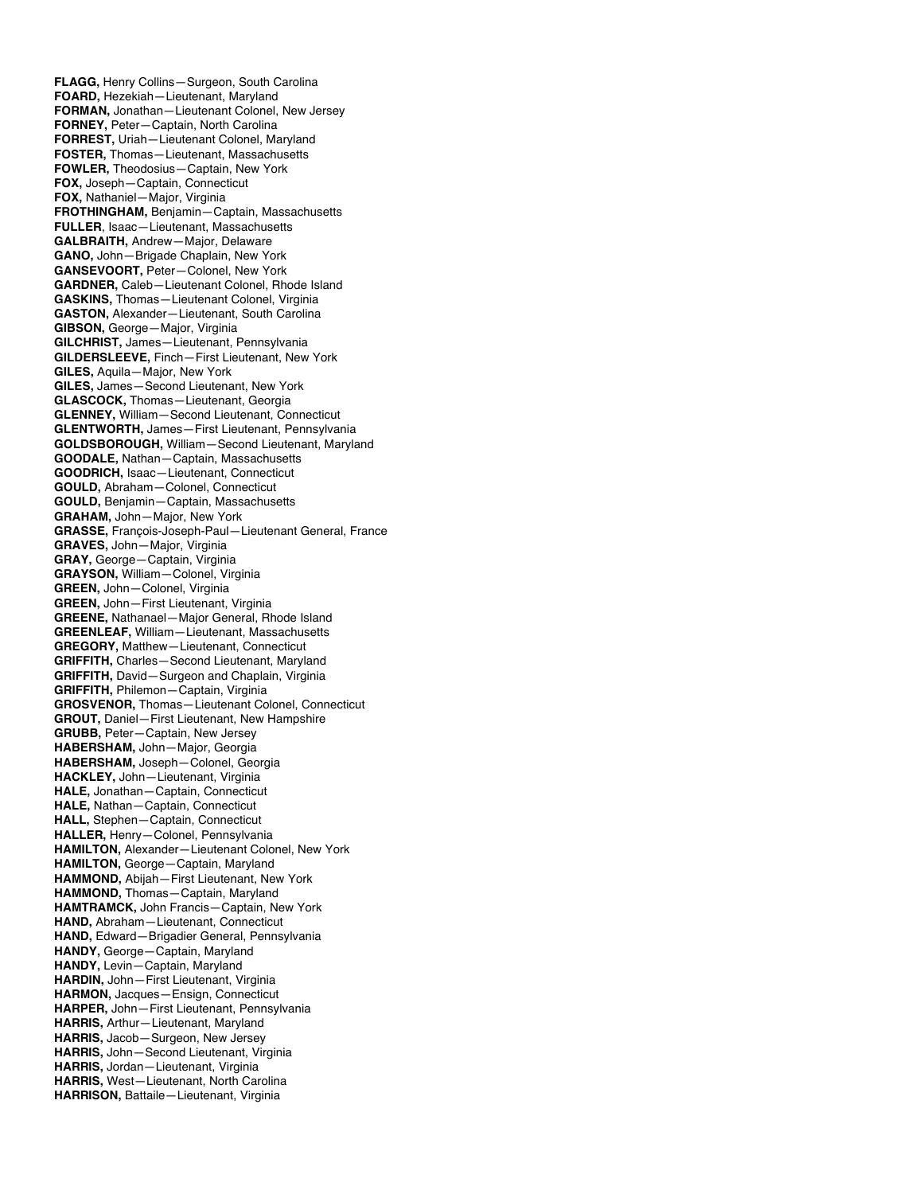**FLAGG,** Henry Collins—Surgeon, South Carolina **FOARD,** Hezekiah—Lieutenant, Maryland **FORMAN,** Jonathan—Lieutenant Colonel, New Jersey **FORNEY,** Peter—Captain, North Carolina **FORREST,** Uriah—Lieutenant Colonel, Maryland **FOSTER,** Thomas—Lieutenant, Massachusetts **FOWLER,** Theodosius—Captain, New York **FOX,** Joseph—Captain, Connecticut **FOX,** Nathaniel—Major, Virginia **FROTHINGHAM,** Benjamin—Captain, Massachusetts **FULLER**, Isaac—Lieutenant, Massachusetts **GALBRAITH,** Andrew—Major, Delaware **GANO,** John—Brigade Chaplain, New York **GANSEVOORT,** Peter—Colonel, New York **GARDNER,** Caleb—Lieutenant Colonel, Rhode Island **GASKINS,** Thomas—Lieutenant Colonel, Virginia **GASTON,** Alexander—Lieutenant, South Carolina **GIBSON,** George—Major, Virginia **GILCHRIST,** James—Lieutenant, Pennsylvania **GILDERSLEEVE,** Finch—First Lieutenant, New York **GILES,** Aquila—Major, New York **GILES,** James—Second Lieutenant, New York **GLASCOCK,** Thomas—Lieutenant, Georgia **GLENNEY,** William—Second Lieutenant, Connecticut **GLENTWORTH,** James—First Lieutenant, Pennsylvania **GOLDSBOROUGH,** William—Second Lieutenant, Maryland **GOODALE,** Nathan—Captain, Massachusetts **GOODRICH,** Isaac—Lieutenant, Connecticut **GOULD,** Abraham—Colonel, Connecticut **GOULD,** Benjamin—Captain, Massachusetts **GRAHAM,** John—Major, New York **GRASSE,** François-Joseph-Paul—Lieutenant General, France **GRAVES,** John—Major, Virginia **GRAY,** George—Captain, Virginia **GRAYSON,** William—Colonel, Virginia **GREEN,** John—Colonel, Virginia **GREEN,** John—First Lieutenant, Virginia **GREENE,** Nathanael—Major General, Rhode Island **GREENLEAF,** William—Lieutenant, Massachusetts **GREGORY,** Matthew—Lieutenant, Connecticut **GRIFFITH,** Charles—Second Lieutenant, Maryland **GRIFFITH,** David—Surgeon and Chaplain, Virginia **GRIFFITH,** Philemon—Captain, Virginia **GROSVENOR,** Thomas—Lieutenant Colonel, Connecticut **GROUT,** Daniel—First Lieutenant, New Hampshire **GRUBB,** Peter—Captain, New Jersey **HABERSHAM,** John—Major, Georgia **HABERSHAM,** Joseph—Colonel, Georgia **HACKLEY,** John—Lieutenant, Virginia **HALE,** Jonathan—Captain, Connecticut **HALE,** Nathan—Captain, Connecticut **HALL,** Stephen—Captain, Connecticut **HALLER,** Henry—Colonel, Pennsylvania **HAMILTON,** Alexander—Lieutenant Colonel, New York **HAMILTON,** George—Captain, Maryland **HAMMOND,** Abijah—First Lieutenant, New York **HAMMOND,** Thomas—Captain, Maryland **HAMTRAMCK,** John Francis—Captain, New York **HAND,** Abraham—Lieutenant, Connecticut **HAND,** Edward—Brigadier General, Pennsylvania **HANDY,** George—Captain, Maryland **HANDY,** Levin—Captain, Maryland **HARDIN,** John—First Lieutenant, Virginia **HARMON,** Jacques—Ensign, Connecticut **HARPER,** John—First Lieutenant, Pennsylvania **HARRIS,** Arthur—Lieutenant, Maryland **HARRIS,** Jacob—Surgeon, New Jersey **HARRIS,** John—Second Lieutenant, Virginia **HARRIS,** Jordan—Lieutenant, Virginia **HARRIS,** West—Lieutenant, North Carolina **HARRISON,** Battaile—Lieutenant, Virginia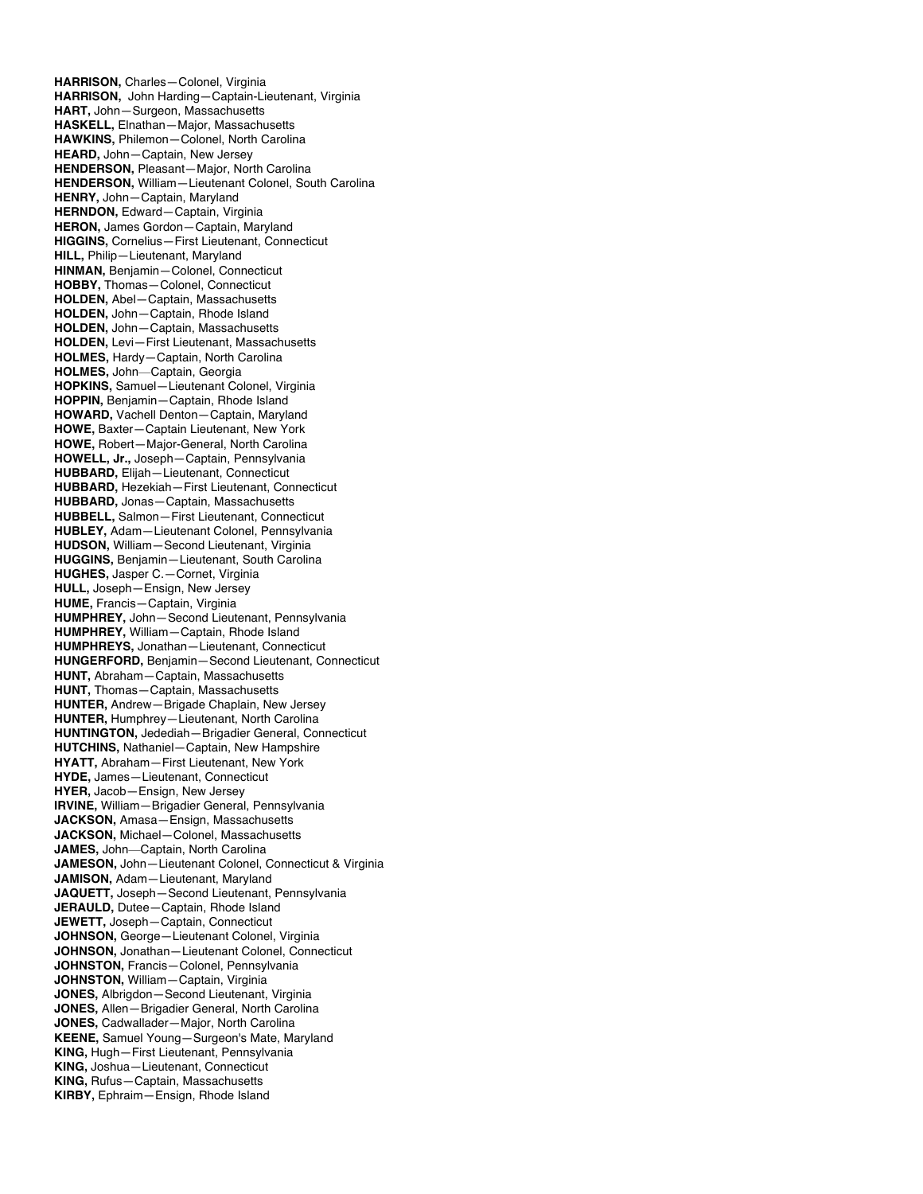**HARRISON,** Charles—Colonel, Virginia **HARRISON,** John Harding—Captain-Lieutenant, Virginia **HART,** John—Surgeon, Massachusetts **HASKELL,** Elnathan—Major, Massachusetts **HAWKINS,** Philemon—Colonel, North Carolina **HEARD,** John—Captain, New Jersey **HENDERSON,** Pleasant—Major, North Carolina **HENDERSON,** William—Lieutenant Colonel, South Carolina **HENRY,** John—Captain, Maryland **HERNDON,** Edward—Captain, Virginia **HERON,** James Gordon—Captain, Maryland **HIGGINS,** Cornelius—First Lieutenant, Connecticut **HILL,** Philip—Lieutenant, Maryland **HINMAN,** Benjamin—Colonel, Connecticut **HOBBY,** Thomas—Colonel, Connecticut **HOLDEN,** Abel—Captain, Massachusetts **HOLDEN,** John—Captain, Rhode Island **HOLDEN,** John—Captain, Massachusetts **HOLDEN,** Levi—First Lieutenant, Massachusetts **HOLMES,** Hardy—Captain, North Carolina **HOLMES,** John—Captain, Georgia **HOPKINS,** Samuel—Lieutenant Colonel, Virginia **HOPPIN,** Benjamin—Captain, Rhode Island **HOWARD,** Vachell Denton—Captain, Maryland **HOWE,** Baxter—Captain Lieutenant, New York **HOWE,** Robert—Major-General, North Carolina **HOWELL, Jr.,** Joseph—Captain, Pennsylvania **HUBBARD,** Elijah—Lieutenant, Connecticut **HUBBARD,** Hezekiah—First Lieutenant, Connecticut **HUBBARD,** Jonas—Captain, Massachusetts **HUBBELL,** Salmon—First Lieutenant, Connecticut **HUBLEY,** Adam—Lieutenant Colonel, Pennsylvania **HUDSON,** William—Second Lieutenant, Virginia **HUGGINS,** Benjamin—Lieutenant, South Carolina **HUGHES,** Jasper C.—Cornet, Virginia **HULL,** Joseph—Ensign, New Jersey **HUME,** Francis—Captain, Virginia **HUMPHREY,** John—Second Lieutenant, Pennsylvania **HUMPHREY,** William—Captain, Rhode Island **HUMPHREYS,** Jonathan—Lieutenant, Connecticut **HUNGERFORD,** Benjamin—Second Lieutenant, Connecticut **HUNT,** Abraham—Captain, Massachusetts **HUNT,** Thomas—Captain, Massachusetts **HUNTER,** Andrew—Brigade Chaplain, New Jersey **HUNTER,** Humphrey—Lieutenant, North Carolina **HUNTINGTON,** Jedediah—Brigadier General, Connecticut **HUTCHINS,** Nathaniel—Captain, New Hampshire **HYATT,** Abraham—First Lieutenant, New York **HYDE,** James—Lieutenant, Connecticut **HYER,** Jacob—Ensign, New Jersey **IRVINE,** William—Brigadier General, Pennsylvania **JACKSON,** Amasa—Ensign, Massachusetts **JACKSON,** Michael—Colonel, Massachusetts **JAMES,** John—Captain, North Carolina **JAMESON,** John—Lieutenant Colonel, Connecticut & Virginia **JAMISON,** Adam—Lieutenant, Maryland **JAQUETT,** Joseph—Second Lieutenant, Pennsylvania **JERAULD,** Dutee—Captain, Rhode Island **JEWETT,** Joseph—Captain, Connecticut **JOHNSON,** George—Lieutenant Colonel, Virginia **JOHNSON,** Jonathan—Lieutenant Colonel, Connecticut **JOHNSTON,** Francis—Colonel, Pennsylvania **JOHNSTON,** William—Captain, Virginia **JONES,** Albrigdon—Second Lieutenant, Virginia **JONES,** Allen—Brigadier General, North Carolina **JONES,** Cadwallader—Major, North Carolina **KEENE,** Samuel Young—Surgeon's Mate, Maryland **KING,** Hugh—First Lieutenant, Pennsylvania **KING,** Joshua—Lieutenant, Connecticut **KING,** Rufus—Captain, Massachusetts **KIRBY,** Ephraim—Ensign, Rhode Island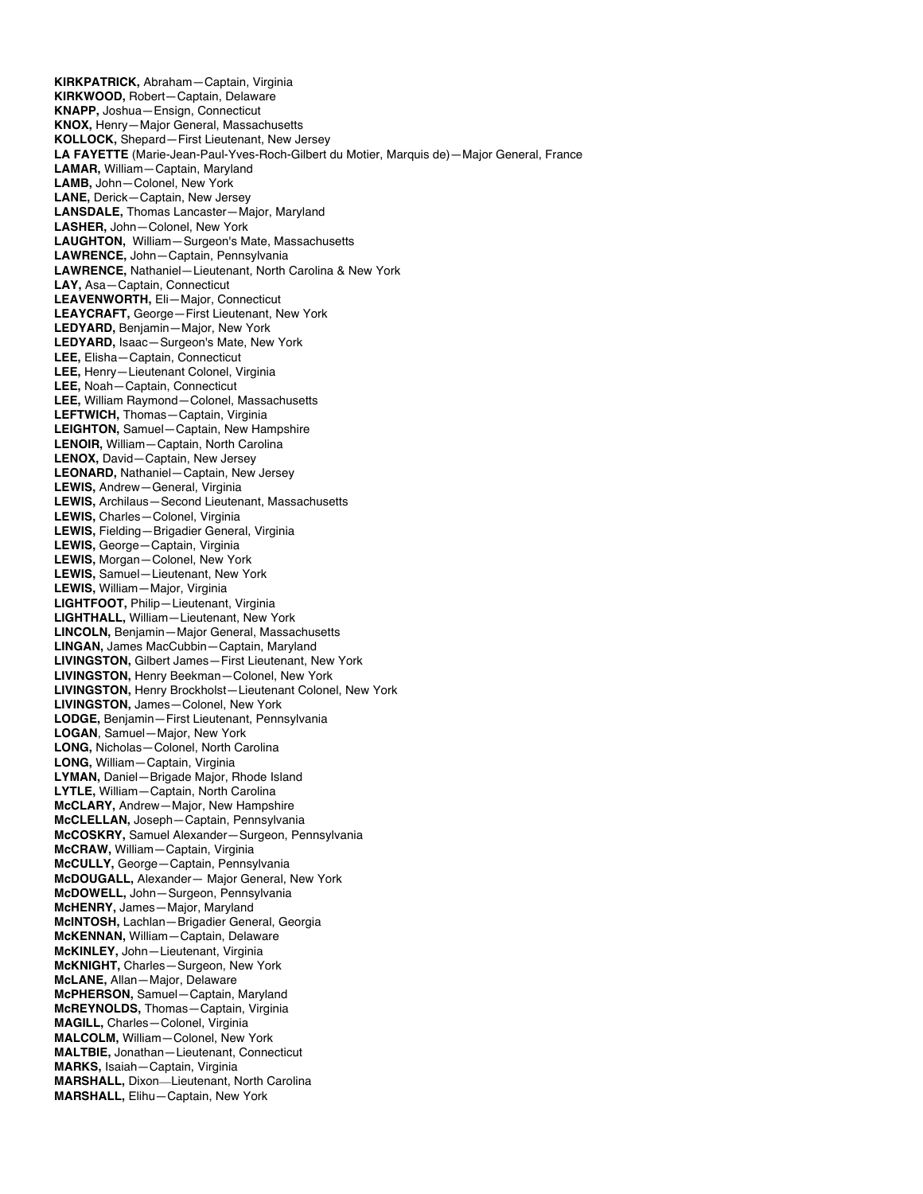**KIRKPATRICK,** Abraham—Captain, Virginia **KIRKWOOD,** Robert—Captain, Delaware **KNAPP,** Joshua—Ensign, Connecticut **KNOX,** Henry—Major General, Massachusetts **KOLLOCK,** Shepard—First Lieutenant, New Jersey **LA FAYETTE** (Marie-Jean-Paul-Yves-Roch-Gilbert du Motier, Marquis de)—Major General, France **LAMAR,** William—Captain, Maryland **LAMB,** John—Colonel, New York **LANE,** Derick—Captain, New Jersey **LANSDALE,** Thomas Lancaster—Major, Maryland **LASHER,** John—Colonel, New York **LAUGHTON,** William—Surgeon's Mate, Massachusetts **LAWRENCE,** John—Captain, Pennsylvania **LAWRENCE,** Nathaniel—Lieutenant, North Carolina & New York **LAY,** Asa—Captain, Connecticut **LEAVENWORTH,** Eli—Major, Connecticut **LEAYCRAFT,** George—First Lieutenant, New York **LEDYARD,** Benjamin—Major, New York **LEDYARD,** Isaac—Surgeon's Mate, New York **LEE,** Elisha—Captain, Connecticut **LEE,** Henry—Lieutenant Colonel, Virginia **LEE,** Noah—Captain, Connecticut **LEE,** William Raymond—Colonel, Massachusetts **LEFTWICH,** Thomas—Captain, Virginia **LEIGHTON,** Samuel—Captain, New Hampshire **LENOIR,** William—Captain, North Carolina **LENOX,** David—Captain, New Jersey **LEONARD,** Nathaniel—Captain, New Jersey **LEWIS,** Andrew—General, Virginia **LEWIS,** Archilaus—Second Lieutenant, Massachusetts **LEWIS,** Charles—Colonel, Virginia **LEWIS,** Fielding—Brigadier General, Virginia **LEWIS,** George—Captain, Virginia **LEWIS,** Morgan—Colonel, New York **LEWIS,** Samuel—Lieutenant, New York **LEWIS,** William—Major, Virginia **LIGHTFOOT,** Philip—Lieutenant, Virginia **LIGHTHALL,** William—Lieutenant, New York **LINCOLN,** Benjamin—Major General, Massachusetts **LINGAN,** James MacCubbin—Captain, Maryland **LIVINGSTON,** Gilbert James—First Lieutenant, New York **LIVINGSTON,** Henry Beekman—Colonel, New York **LIVINGSTON,** Henry Brockholst—Lieutenant Colonel, New York **LIVINGSTON,** James—Colonel, New York **LODGE,** Benjamin—First Lieutenant, Pennsylvania **LOGAN**, Samuel—Major, New York **LONG,** Nicholas—Colonel, North Carolina **LONG,** William—Captain, Virginia **LYMAN,** Daniel—Brigade Major, Rhode Island **LYTLE,** William—Captain, North Carolina **McCLARY,** Andrew—Major, New Hampshire **McCLELLAN,** Joseph—Captain, Pennsylvania **McCOSKRY,** Samuel Alexander—Surgeon, Pennsylvania **McCRAW,** William—Captain, Virginia **McCULLY,** George—Captain, Pennsylvania **McDOUGALL,** Alexander— Major General, New York **McDOWELL,** John—Surgeon, Pennsylvania **McHENRY,** James—Major, Maryland **McINTOSH,** Lachlan—Brigadier General, Georgia **McKENNAN,** William—Captain, Delaware **McKINLEY,** John—Lieutenant, Virginia **McKNIGHT,** Charles—Surgeon, New York **McLANE,** Allan—Major, Delaware **McPHERSON,** Samuel—Captain, Maryland **McREYNOLDS,** Thomas—Captain, Virginia **MAGILL,** Charles—Colonel, Virginia **MALCOLM,** William—Colonel, New York **MALTBIE,** Jonathan—Lieutenant, Connecticut **MARKS,** Isaiah—Captain, Virginia **MARSHALL,** Dixon—Lieutenant, North Carolina **MARSHALL,** Elihu—Captain, New York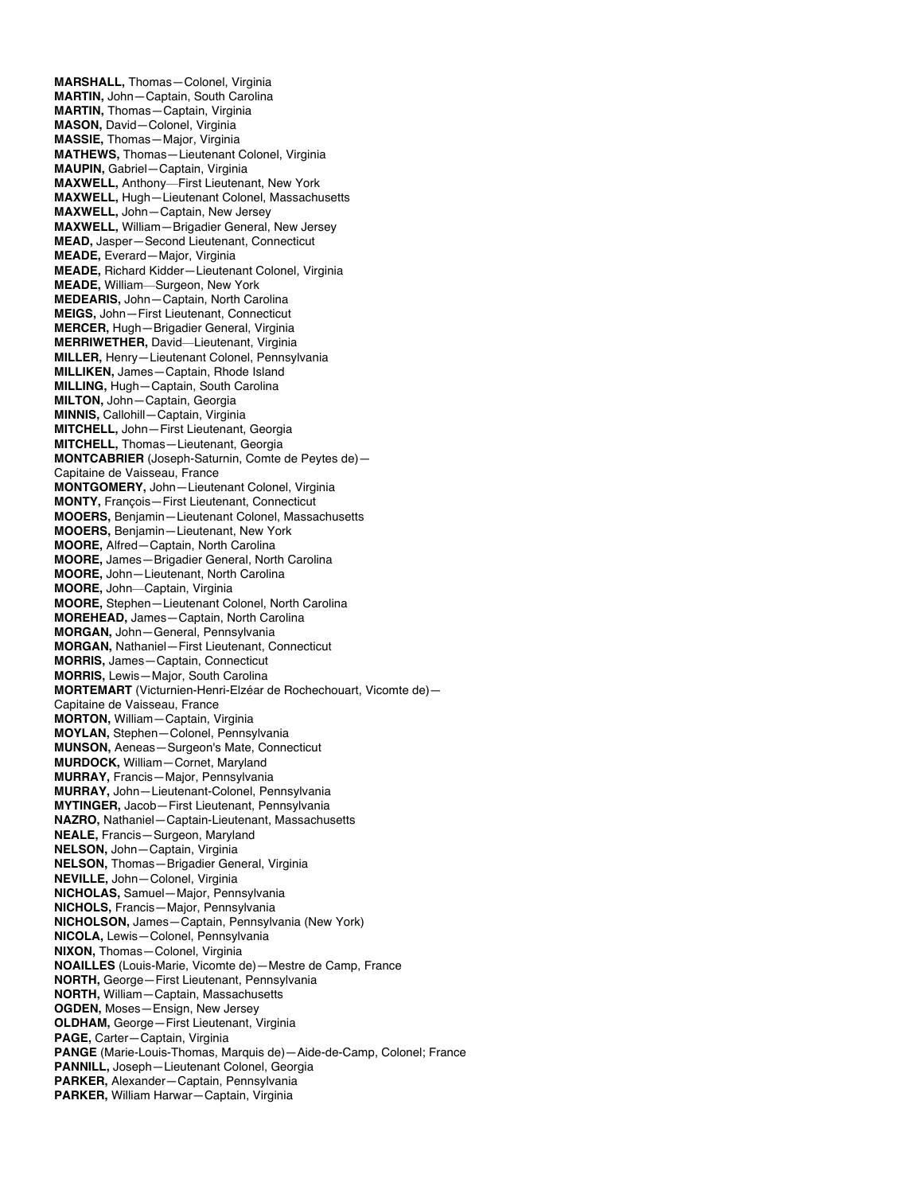**MARSHALL,** Thomas—Colonel, Virginia **MARTIN,** John—Captain, South Carolina **MARTIN,** Thomas—Captain, Virginia **MASON,** David—Colonel, Virginia **MASSIE,** Thomas—Major, Virginia **MATHEWS,** Thomas—Lieutenant Colonel, Virginia **MAUPIN,** Gabriel—Captain, Virginia **MAXWELL,** Anthony—First Lieutenant, New York **MAXWELL,** Hugh—Lieutenant Colonel, Massachusetts **MAXWELL,** John—Captain, New Jersey **MAXWELL,** William—Brigadier General, New Jersey **MEAD,** Jasper—Second Lieutenant, Connecticut **MEADE,** Everard—Major, Virginia **MEADE,** Richard Kidder—Lieutenant Colonel, Virginia **MEADE,** William—Surgeon, New York **MEDEARIS,** John—Captain, North Carolina **MEIGS,** John—First Lieutenant, Connecticut **MERCER,** Hugh—Brigadier General, Virginia **MERRIWETHER,** David—Lieutenant, Virginia **MILLER,** Henry—Lieutenant Colonel, Pennsylvania **MILLIKEN,** James—Captain, Rhode Island **MILLING,** Hugh—Captain, South Carolina **MILTON,** John—Captain, Georgia **MINNIS,** Callohill—Captain, Virginia **MITCHELL,** John—First Lieutenant, Georgia **MITCHELL,** Thomas—Lieutenant, Georgia **MONTCABRIER** (Joseph-Saturnin, Comte de Peytes de)— Capitaine de Vaisseau, France **MONTGOMERY,** John—Lieutenant Colonel, Virginia **MONTY,** François—First Lieutenant, Connecticut **MOOERS,** Benjamin—Lieutenant Colonel, Massachusetts **MOOERS,** Benjamin—Lieutenant, New York **MOORE,** Alfred—Captain, North Carolina **MOORE,** James—Brigadier General, North Carolina **MOORE,** John—Lieutenant, North Carolina **MOORE,** John—Captain, Virginia **MOORE,** Stephen—Lieutenant Colonel, North Carolina **MOREHEAD,** James—Captain, North Carolina **MORGAN,** John—General, Pennsylvania **MORGAN,** Nathaniel—First Lieutenant, Connecticut **MORRIS,** James—Captain, Connecticut **MORRIS,** Lewis—Major, South Carolina **MORTEMART** (Victurnien-Henri-Elzéar de Rochechouart, Vicomte de)— Capitaine de Vaisseau, France **MORTON,** William—Captain, Virginia **MOYLAN,** Stephen—Colonel, Pennsylvania **MUNSON,** Aeneas—Surgeon's Mate, Connecticut **MURDOCK,** William—Cornet, Maryland **MURRAY,** Francis—Major, Pennsylvania **MURRAY,** John—Lieutenant-Colonel, Pennsylvania **MYTINGER,** Jacob—First Lieutenant, Pennsylvania **NAZRO,** Nathaniel—Captain-Lieutenant, Massachusetts **NEALE,** Francis—Surgeon, Maryland **NELSON,** John—Captain, Virginia **NELSON,** Thomas—Brigadier General, Virginia **NEVILLE,** John—Colonel, Virginia **NICHOLAS,** Samuel—Major, Pennsylvania **NICHOLS,** Francis—Major, Pennsylvania **NICHOLSON,** James—Captain, Pennsylvania (New York) **NICOLA,** Lewis—Colonel, Pennsylvania **NIXON,** Thomas—Colonel, Virginia **NOAILLES** (Louis-Marie, Vicomte de)—Mestre de Camp, France **NORTH,** George—First Lieutenant, Pennsylvania **NORTH,** William—Captain, Massachusetts **OGDEN,** Moses—Ensign, New Jersey **OLDHAM,** George—First Lieutenant, Virginia **PAGE,** Carter—Captain, Virginia **PANGE** (Marie-Louis-Thomas, Marquis de)—Aide-de-Camp, Colonel; France **PANNILL,** Joseph—Lieutenant Colonel, Georgia **PARKER,** Alexander—Captain, Pennsylvania **PARKER,** William Harwar—Captain, Virginia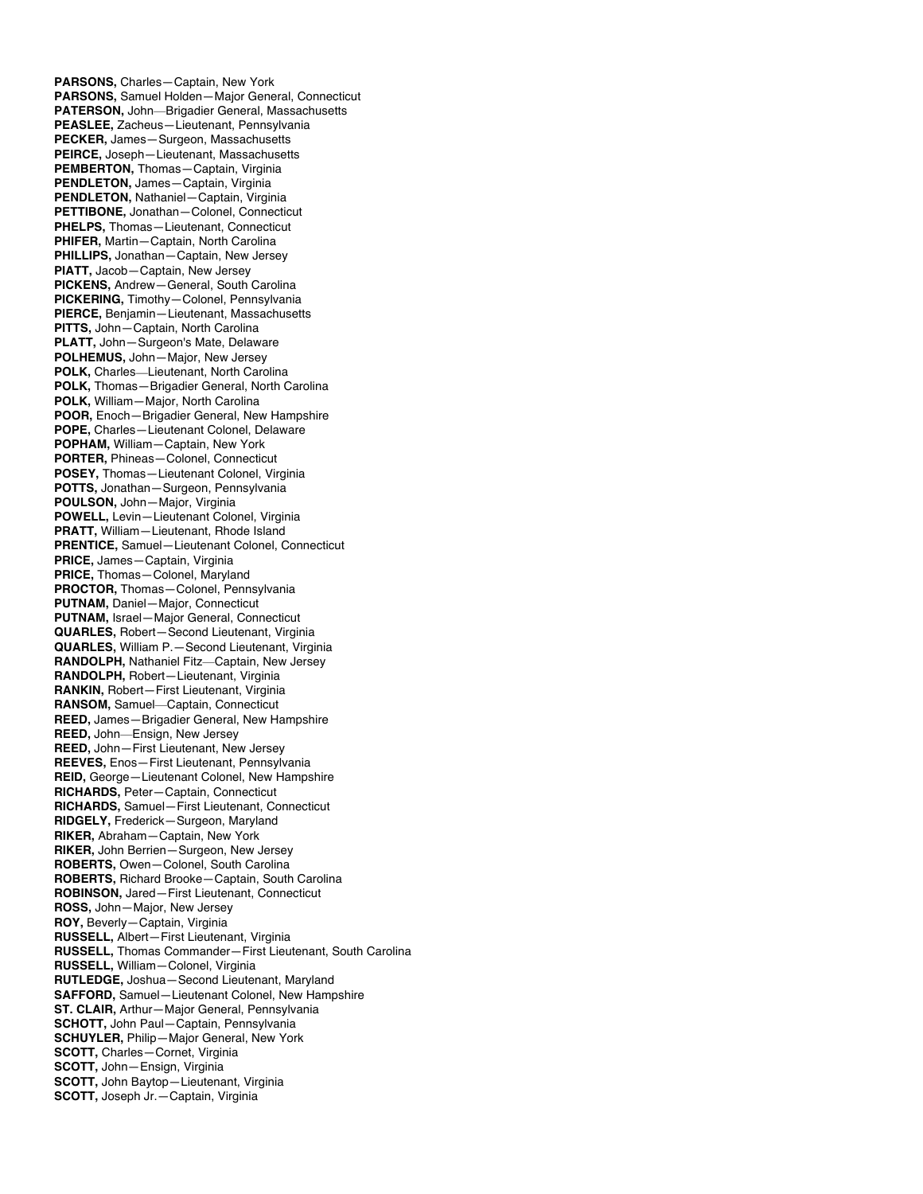**PARSONS,** Charles—Captain, New York **PARSONS,** Samuel Holden—Major General, Connecticut **PATERSON,** John—Brigadier General, Massachusetts **PEASLEE,** Zacheus—Lieutenant, Pennsylvania **PECKER,** James—Surgeon, Massachusetts **PEIRCE,** Joseph—Lieutenant, Massachusetts **PEMBERTON,** Thomas—Captain, Virginia **PENDLETON,** James—Captain, Virginia **PENDLETON,** Nathaniel—Captain, Virginia **PETTIBONE,** Jonathan—Colonel, Connecticut **PHELPS,** Thomas—Lieutenant, Connecticut **PHIFER,** Martin—Captain, North Carolina **PHILLIPS,** Jonathan—Captain, New Jersey **PIATT,** Jacob—Captain, New Jersey **PICKENS,** Andrew—General, South Carolina **PICKERING,** Timothy—Colonel, Pennsylvania **PIERCE,** Benjamin—Lieutenant, Massachusetts **PITTS,** John—Captain, North Carolina **PLATT,** John—Surgeon's Mate, Delaware **POLHEMUS,** John—Major, New Jersey **POLK,** Charles—Lieutenant, North Carolina **POLK,** Thomas—Brigadier General, North Carolina **POLK,** William—Major, North Carolina **POOR,** Enoch—Brigadier General, New Hampshire **POPE,** Charles—Lieutenant Colonel, Delaware **POPHAM,** William—Captain, New York **PORTER,** Phineas—Colonel, Connecticut **POSEY,** Thomas—Lieutenant Colonel, Virginia **POTTS,** Jonathan—Surgeon, Pennsylvania **POULSON,** John—Major, Virginia **POWELL,** Levin—Lieutenant Colonel, Virginia **PRATT,** William—Lieutenant, Rhode Island **PRENTICE,** Samuel—Lieutenant Colonel, Connecticut **PRICE,** James—Captain, Virginia **PRICE,** Thomas—Colonel, Maryland **PROCTOR,** Thomas—Colonel, Pennsylvania **PUTNAM,** Daniel—Major, Connecticut **PUTNAM,** Israel—Major General, Connecticut **QUARLES,** Robert—Second Lieutenant, Virginia **QUARLES,** William P.—Second Lieutenant, Virginia **RANDOLPH,** Nathaniel Fitz—Captain, New Jersey **RANDOLPH,** Robert—Lieutenant, Virginia **RANKIN,** Robert—First Lieutenant, Virginia **RANSOM,** Samuel—Captain, Connecticut **REED,** James—Brigadier General, New Hampshire **REED,** John—Ensign, New Jersey **REED,** John—First Lieutenant, New Jersey **REEVES,** Enos—First Lieutenant, Pennsylvania **REID,** George—Lieutenant Colonel, New Hampshire **RICHARDS,** Peter—Captain, Connecticut **RICHARDS,** Samuel—First Lieutenant, Connecticut **RIDGELY,** Frederick—Surgeon, Maryland **RIKER,** Abraham—Captain, New York **RIKER,** John Berrien—Surgeon, New Jersey **ROBERTS,** Owen—Colonel, South Carolina **ROBERTS,** Richard Brooke—Captain, South Carolina **ROBINSON,** Jared—First Lieutenant, Connecticut **ROSS,** John—Major, New Jersey **ROY,** Beverly—Captain, Virginia **RUSSELL,** Albert—First Lieutenant, Virginia **RUSSELL,** Thomas Commander—First Lieutenant, South Carolina **RUSSELL,** William—Colonel, Virginia **RUTLEDGE,** Joshua—Second Lieutenant, Maryland **SAFFORD,** Samuel—Lieutenant Colonel, New Hampshire **ST. CLAIR,** Arthur—Major General, Pennsylvania **SCHOTT,** John Paul—Captain, Pennsylvania **SCHUYLER,** Philip—Major General, New York **SCOTT,** Charles—Cornet, Virginia **SCOTT,** John—Ensign, Virginia **SCOTT,** John Baytop—Lieutenant, Virginia **SCOTT,** Joseph Jr.—Captain, Virginia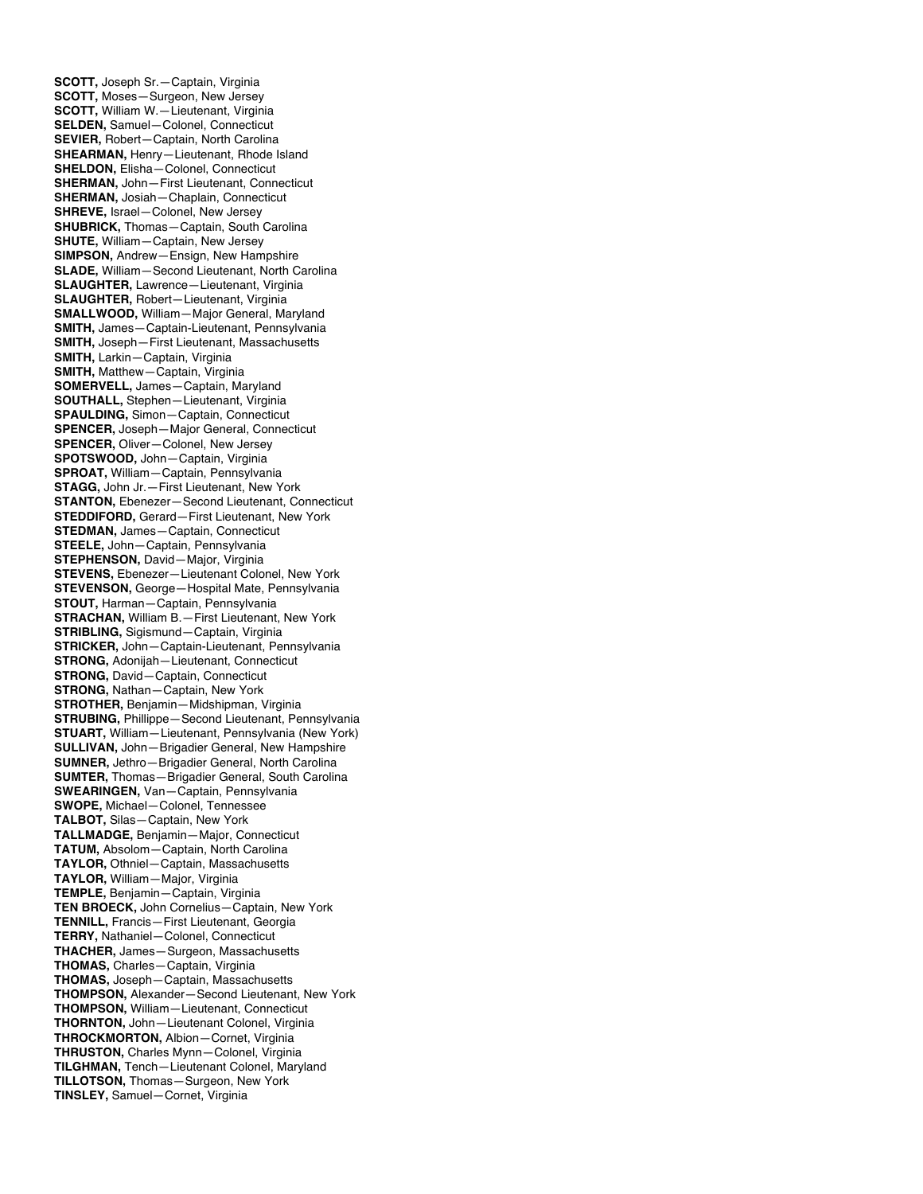**SCOTT,** Joseph Sr.—Captain, Virginia **SCOTT,** Moses—Surgeon, New Jersey **SCOTT,** William W.—Lieutenant, Virginia **SELDEN,** Samuel—Colonel, Connecticut **SEVIER,** Robert—Captain, North Carolina **SHEARMAN,** Henry—Lieutenant, Rhode Island **SHELDON,** Elisha—Colonel, Connecticut **SHERMAN,** John—First Lieutenant, Connecticut **SHERMAN,** Josiah—Chaplain, Connecticut **SHREVE,** Israel—Colonel, New Jersey **SHUBRICK,** Thomas—Captain, South Carolina **SHUTE,** William—Captain, New Jersey **SIMPSON,** Andrew—Ensign, New Hampshire **SLADE,** William—Second Lieutenant, North Carolina **SLAUGHTER,** Lawrence—Lieutenant, Virginia **SLAUGHTER,** Robert—Lieutenant, Virginia **SMALLWOOD,** William—Major General, Maryland **SMITH,** James—Captain-Lieutenant, Pennsylvania **SMITH,** Joseph—First Lieutenant, Massachusetts **SMITH,** Larkin—Captain, Virginia **SMITH,** Matthew—Captain, Virginia **SOMERVELL,** James—Captain, Maryland **SOUTHALL,** Stephen—Lieutenant, Virginia **SPAULDING,** Simon—Captain, Connecticut **SPENCER,** Joseph—Major General, Connecticut **SPENCER,** Oliver—Colonel, New Jersey **SPOTSWOOD,** John—Captain, Virginia **SPROAT,** William—Captain, Pennsylvania **STAGG,** John Jr.—First Lieutenant, New York **STANTON,** Ebenezer—Second Lieutenant, Connecticut **STEDDIFORD,** Gerard—First Lieutenant, New York **STEDMAN,** James—Captain, Connecticut **STEELE,** John—Captain, Pennsylvania **STEPHENSON,** David—Major, Virginia **STEVENS,** Ebenezer—Lieutenant Colonel, New York **STEVENSON,** George—Hospital Mate, Pennsylvania **STOUT,** Harman—Captain, Pennsylvania **STRACHAN,** William B.—First Lieutenant, New York **STRIBLING,** Sigismund—Captain, Virginia **STRICKER,** John—Captain-Lieutenant, Pennsylvania **STRONG,** Adonijah—Lieutenant, Connecticut **STRONG,** David—Captain, Connecticut **STRONG,** Nathan—Captain, New York **STROTHER,** Benjamin—Midshipman, Virginia **STRUBING,** Phillippe—Second Lieutenant, Pennsylvania **STUART,** William—Lieutenant, Pennsylvania (New York) **SULLIVAN,** John—Brigadier General, New Hampshire **SUMNER,** Jethro—Brigadier General, North Carolina **SUMTER,** Thomas—Brigadier General, South Carolina **SWEARINGEN,** Van—Captain, Pennsylvania **SWOPE,** Michael—Colonel, Tennessee **TALBOT,** Silas—Captain, New York **TALLMADGE,** Benjamin—Major, Connecticut **TATUM,** Absolom—Captain, North Carolina **TAYLOR,** Othniel—Captain, Massachusetts **TAYLOR,** William—Major, Virginia **TEMPLE,** Benjamin—Captain, Virginia **TEN BROECK,** John Cornelius—Captain, New York **TENNILL,** Francis—First Lieutenant, Georgia **TERRY,** Nathaniel—Colonel, Connecticut **THACHER,** James—Surgeon, Massachusetts **THOMAS,** Charles—Captain, Virginia **THOMAS,** Joseph—Captain, Massachusetts **THOMPSON,** Alexander—Second Lieutenant, New York **THOMPSON,** William—Lieutenant, Connecticut **THORNTON,** John—Lieutenant Colonel, Virginia **THROCKMORTON,** Albion—Cornet, Virginia **THRUSTON,** Charles Mynn—Colonel, Virginia **TILGHMAN,** Tench—Lieutenant Colonel, Maryland **TILLOTSON,** Thomas—Surgeon, New York **TINSLEY,** Samuel—Cornet, Virginia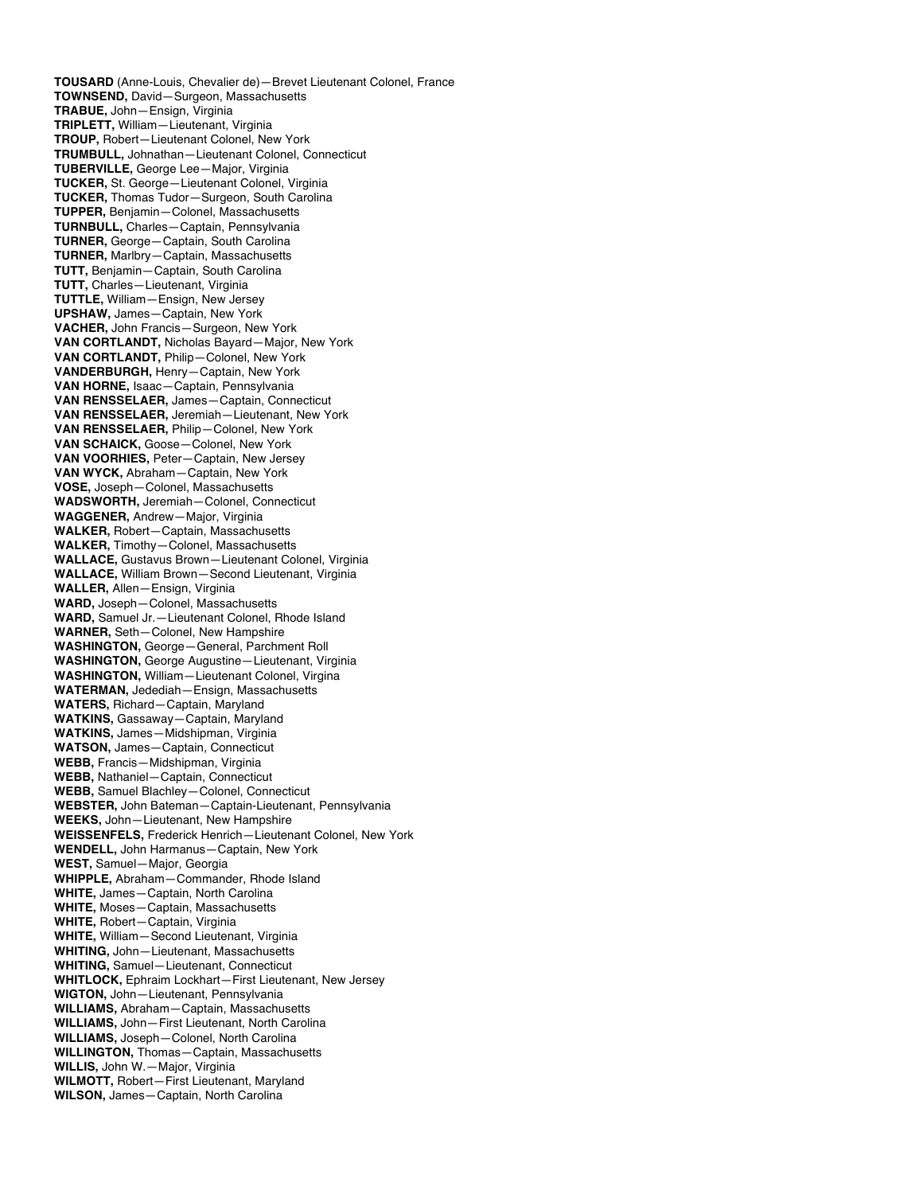**TOUSARD** (Anne-Louis, Chevalier de)—Brevet Lieutenant Colonel, France **TOWNSEND,** David—Surgeon, Massachusetts **TRABUE,** John—Ensign, Virginia **TRIPLETT,** William—Lieutenant, Virginia **TROUP,** Robert—Lieutenant Colonel, New York **TRUMBULL,** Johnathan—Lieutenant Colonel, Connecticut **TUBERVILLE,** George Lee—Major, Virginia **TUCKER,** St. George—Lieutenant Colonel, Virginia **TUCKER,** Thomas Tudor—Surgeon, South Carolina **TUPPER,** Benjamin—Colonel, Massachusetts **TURNBULL,** Charles—Captain, Pennsylvania **TURNER,** George—Captain, South Carolina **TURNER,** Marlbry—Captain, Massachusetts **TUTT,** Benjamin—Captain, South Carolina **TUTT,** Charles—Lieutenant, Virginia **TUTTLE,** William—Ensign, New Jersey **UPSHAW,** James—Captain, New York **VACHER,** John Francis—Surgeon, New York **VAN CORTLANDT,** Nicholas Bayard—Major, New York **VAN CORTLANDT,** Philip—Colonel, New York **VANDERBURGH,** Henry—Captain, New York **VAN HORNE,** Isaac—Captain, Pennsylvania **VAN RENSSELAER,** James—Captain, Connecticut **VAN RENSSELAER,** Jeremiah—Lieutenant, New York **VAN RENSSELAER,** Philip—Colonel, New York **VAN SCHAICK,** Goose—Colonel, New York **VAN VOORHIES,** Peter—Captain, New Jersey **VAN WYCK,** Abraham—Captain, New York **VOSE,** Joseph—Colonel, Massachusetts **WADSWORTH,** Jeremiah—Colonel, Connecticut **WAGGENER,** Andrew—Major, Virginia **WALKER,** Robert—Captain, Massachusetts **WALKER,** Timothy—Colonel, Massachusetts **WALLACE,** Gustavus Brown—Lieutenant Colonel, Virginia **WALLACE,** William Brown—Second Lieutenant, Virginia **WALLER,** Allen—Ensign, Virginia **WARD,** Joseph—Colonel, Massachusetts **WARD,** Samuel Jr.—Lieutenant Colonel, Rhode Island **WARNER,** Seth—Colonel, New Hampshire **WASHINGTON,** George—General, Parchment Roll **WASHINGTON,** George Augustine—Lieutenant, Virginia **WASHINGTON,** William—Lieutenant Colonel, Virgina **WATERMAN,** Jedediah—Ensign, Massachusetts **WATERS,** Richard—Captain, Maryland **WATKINS,** Gassaway—Captain, Maryland **WATKINS,** James—Midshipman, Virginia **WATSON,** James—Captain, Connecticut **WEBB,** Francis—Midshipman, Virginia **WEBB,** Nathaniel—Captain, Connecticut **WEBB,** Samuel Blachley—Colonel, Connecticut **WEBSTER,** John Bateman—Captain-Lieutenant, Pennsylvania **WEEKS,** John—Lieutenant, New Hampshire **WEISSENFELS,** Frederick Henrich—Lieutenant Colonel, New York **WENDELL,** John Harmanus—Captain, New York **WEST,** Samuel—Major, Georgia **WHIPPLE,** Abraham—Commander, Rhode Island **WHITE,** James—Captain, North Carolina **WHITE,** Moses—Captain, Massachusetts **WHITE,** Robert—Captain, Virginia **WHITE,** William—Second Lieutenant, Virginia **WHITING,** John—Lieutenant, Massachusetts **WHITING,** Samuel—Lieutenant, Connecticut **WHITLOCK,** Ephraim Lockhart—First Lieutenant, New Jersey **WIGTON,** John—Lieutenant, Pennsylvania **WILLIAMS,** Abraham—Captain, Massachusetts **WILLIAMS,** John—First Lieutenant, North Carolina **WILLIAMS,** Joseph—Colonel, North Carolina **WILLINGTON,** Thomas—Captain, Massachusetts **WILLIS,** John W.—Major, Virginia **WILMOTT,** Robert—First Lieutenant, Maryland **WILSON,** James—Captain, North Carolina